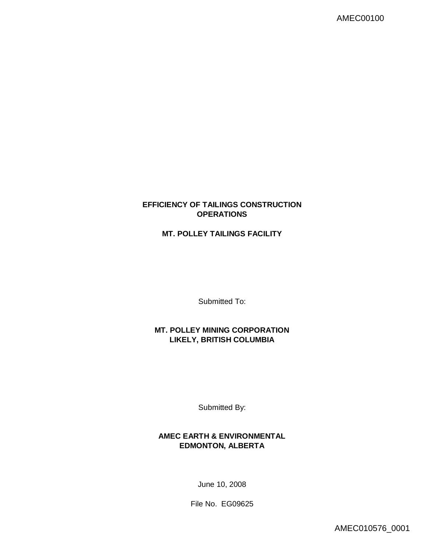## **EFFICIENCY OF TAILINGS CONSTRUCTION OPERATIONS**

# **MT. POLLEY TAILINGS FACILITY**

Submitted To:

**MT. POLLEY MINING CORPORATION LIKELY, BRITISH COLUMBIA**

Submitted By:

**AMEC EARTH & ENVIRONMENTAL EDMONTON, ALBERTA**

June 10, 2008

File No. EG09625

AMEC010576\_0001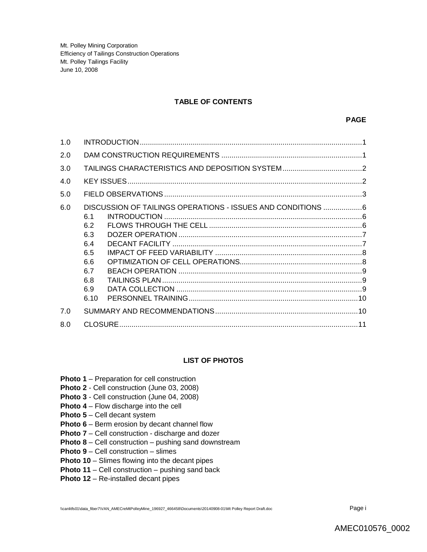#### **TABLE OF CONTENTS**

| 1.0 |                                                                                                                                    |  |
|-----|------------------------------------------------------------------------------------------------------------------------------------|--|
| 2.0 |                                                                                                                                    |  |
| 3.0 |                                                                                                                                    |  |
| 4.0 |                                                                                                                                    |  |
| 5.0 |                                                                                                                                    |  |
| 6.0 | DISCUSSION OF TAILINGS OPERATIONS - ISSUES AND CONDITIONS 6<br>6.1<br>6.2<br>6.3<br>6.4<br>6.5<br>6.6<br>6.7<br>6.8<br>6.9<br>6.10 |  |
| 7.0 |                                                                                                                                    |  |
| 8.0 |                                                                                                                                    |  |

#### **LIST OF PHOTOS**

- **Photo 1** Preparation for cell construction
- **Photo 2**  Cell construction (June 03, 2008)
- **Photo 3** Cell construction (June 04, 2008)
- **Photo 4** Flow discharge into the cell
- **Photo 5** Cell decant system
- **Photo 6** Berm erosion by decant channel flow
- **Photo 7** Cell construction discharge and dozer
- **Photo 8** Cell construction pushing sand downstream
- **Photo 9** Cell construction slimes
- **Photo 10** Slimes flowing into the decant pipes
- **Photo 11** Cell construction pushing sand back
- **Photo 12** Re-installed decant pipes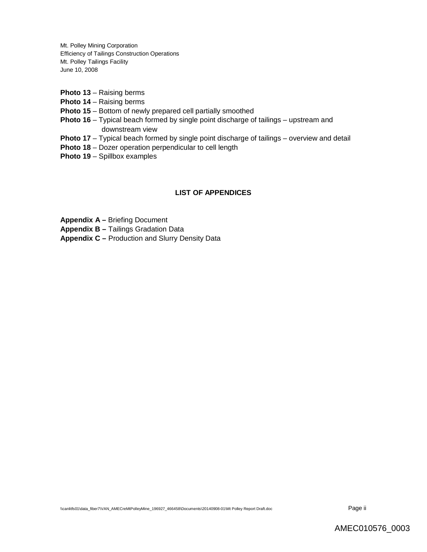- **Photo 13** Raising berms
- **Photo 14** Raising berms
- **Photo 15** Bottom of newly prepared cell partially smoothed
- **Photo 16** Typical beach formed by single point discharge of tailings upstream and downstream view
- **Photo 17** Typical beach formed by single point discharge of tailings overview and detail
- **Photo 18** Dozer operation perpendicular to cell length
- **Photo 19** Spillbox examples

## **LIST OF APPENDICES**

**Appendix A –** Briefing Document

**Appendix B –** Tailings Gradation Data

**Appendix C –** Production and Slurry Density Data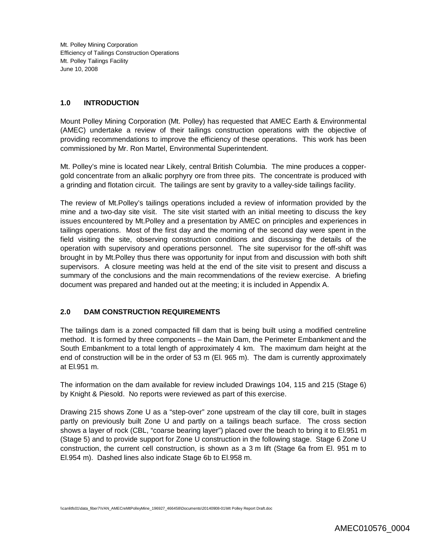#### **1.0 INTRODUCTION**

Mount Polley Mining Corporation (Mt. Polley) has requested that AMEC Earth & Environmental (AMEC) undertake a review of their tailings construction operations with the objective of providing recommendations to improve the efficiency of these operations. This work has been commissioned by Mr. Ron Martel, Environmental Superintendent.

Mt. Polley's mine is located near Likely, central British Columbia. The mine produces a coppergold concentrate from an alkalic porphyry ore from three pits. The concentrate is produced with a grinding and flotation circuit. The tailings are sent by gravity to a valley-side tailings facility.

The review of Mt.Polley's tailings operations included a review of information provided by the mine and a two-day site visit. The site visit started with an initial meeting to discuss the key issues encountered by Mt.Polley and a presentation by AMEC on principles and experiences in tailings operations. Most of the first day and the morning of the second day were spent in the field visiting the site, observing construction conditions and discussing the details of the operation with supervisory and operations personnel. The site supervisor for the off-shift was brought in by Mt.Polley thus there was opportunity for input from and discussion with both shift supervisors. A closure meeting was held at the end of the site visit to present and discuss a summary of the conclusions and the main recommendations of the review exercise. A briefing document was prepared and handed out at the meeting; it is included in Appendix A.

## **2.0 DAM CONSTRUCTION REQUIREMENTS**

The tailings dam is a zoned compacted fill dam that is being built using a modified centreline method. It is formed by three components – the Main Dam, the Perimeter Embankment and the South Embankment to a total length of approximately 4 km. The maximum dam height at the end of construction will be in the order of 53 m (El. 965 m). The dam is currently approximately at El.951 m.

The information on the dam available for review included Drawings 104, 115 and 215 (Stage 6) by Knight & Piesold. No reports were reviewed as part of this exercise.

Drawing 215 shows Zone U as a "step-over" zone upstream of the clay till core, built in stages partly on previously built Zone U and partly on a tailings beach surface. The cross section shows a layer of rock (CBL, "coarse bearing layer") placed over the beach to bring it to El.951 m (Stage 5) and to provide support for Zone U construction in the following stage. Stage 6 Zone U construction, the current cell construction, is shown as a 3 m lift (Stage 6a from El. 951 m to El.954 m). Dashed lines also indicate Stage 6b to El.958 m.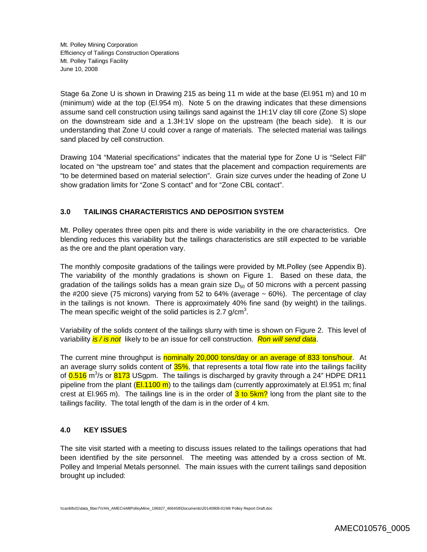Stage 6a Zone U is shown in Drawing 215 as being 11 m wide at the base (El.951 m) and 10 m (minimum) wide at the top (El.954 m). Note 5 on the drawing indicates that these dimensions assume sand cell construction using tailings sand against the 1H:1V clay till core (Zone S) slope on the downstream side and a 1.3H:1V slope on the upstream (the beach side). It is our understanding that Zone U could cover a range of materials. The selected material was tailings sand placed by cell construction.

Drawing 104 "Material specifications" indicates that the material type for Zone U is "Select Fill" located on "the upstream toe" and states that the placement and compaction requirements are "to be determined based on material selection". Grain size curves under the heading of Zone U show gradation limits for "Zone S contact" and for "Zone CBL contact".

## **3.0 TAILINGS CHARACTERISTICS AND DEPOSITION SYSTEM**

Mt. Polley operates three open pits and there is wide variability in the ore characteristics. Ore blending reduces this variability but the tailings characteristics are still expected to be variable as the ore and the plant operation vary.

The monthly composite gradations of the tailings were provided by Mt.Polley (see Appendix B). The variability of the monthly gradations is shown on Figure 1. Based on these data, the gradation of the tailings solids has a mean grain size  $D_{50}$  of 50 microns with a percent passing the #200 sieve (75 microns) varying from 52 to 64% (average  $\sim$  60%). The percentage of clay in the tailings is not known. There is approximately 40% fine sand (by weight) in the tailings. The mean specific weight of the solid particles is 2.7 g/cm<sup>3</sup>.

Variability of the solids content of the tailings slurry with time is shown on Figure 2. This level of variability *is / is not* likely to be an issue for cell construction. *Ron will send data*.

The current mine throughput is nominally 20,000 tons/day or an average of 833 tons/hour. At an average slurry solids content of 35%, that represents a total flow rate into the tailings facility of 0.516 m<sup>3</sup>/s or 8173 USgpm. The tailings is discharged by gravity through a 24" HDPE DR11 pipeline from the plant ( $E1.1100 \text{ m}$ ) to the tailings dam (currently approximately at El.951 m; final crest at El.965 m). The tailings line is in the order of  $3$  to  $5km$ ? long from the plant site to the tailings facility. The total length of the dam is in the order of 4 km.

#### **4.0 KEY ISSUES**

The site visit started with a meeting to discuss issues related to the tailings operations that had been identified by the site personnel. The meeting was attended by a cross section of Mt. Polley and Imperial Metals personnel. The main issues with the current tailings sand deposition brought up included: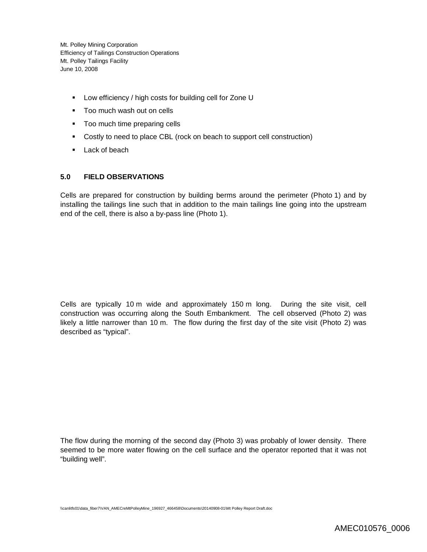- **-** Low efficiency / high costs for building cell for Zone U
- **Too much wash out on cells**
- Too much time preparing cells
- Costly to need to place CBL (rock on beach to support cell construction)
- **Lack of beach**

## **5.0 FIELD OBSERVATIONS**

Cells are prepared for construction by building berms around the perimeter (Photo 1) and by installing the tailings line such that in addition to the main tailings line going into the upstream end of the cell, there is also a by-pass line (Photo 1).

Cells are typically 10 m wide and approximately 150 m long. During the site visit, cell construction was occurring along the South Embankment. The cell observed (Photo 2) was likely a little narrower than 10 m. The flow during the first day of the site visit (Photo 2) was described as "typical".

The flow during the morning of the second day (Photo 3) was probably of lower density. There seemed to be more water flowing on the cell surface and the operator reported that it was not "building well".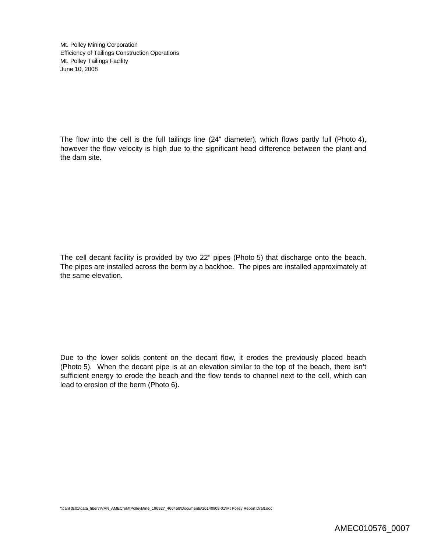The flow into the cell is the full tailings line (24" diameter), which flows partly full (Photo 4), however the flow velocity is high due to the significant head difference between the plant and the dam site.

The cell decant facility is provided by two 22" pipes (Photo 5) that discharge onto the beach. The pipes are installed across the berm by a backhoe. The pipes are installed approximately at the same elevation.

Due to the lower solids content on the decant flow, it erodes the previously placed beach (Photo 5). When the decant pipe is at an elevation similar to the top of the beach, there isn't sufficient energy to erode the beach and the flow tends to channel next to the cell, which can lead to erosion of the berm (Photo 6).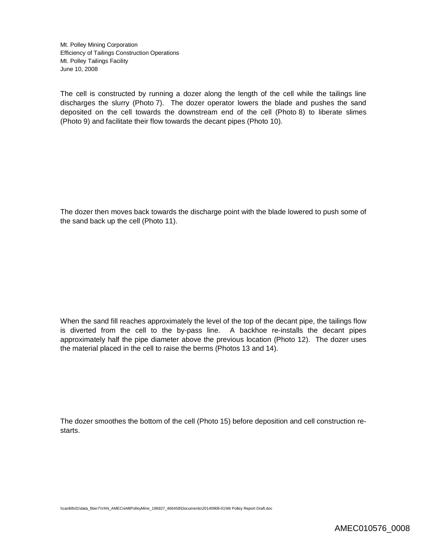The cell is constructed by running a dozer along the length of the cell while the tailings line discharges the slurry (Photo 7). The dozer operator lowers the blade and pushes the sand deposited on the cell towards the downstream end of the cell (Photo 8) to liberate slimes (Photo 9) and facilitate their flow towards the decant pipes (Photo 10).

The dozer then moves back towards the discharge point with the blade lowered to push some of the sand back up the cell (Photo 11).

When the sand fill reaches approximately the level of the top of the decant pipe, the tailings flow is diverted from the cell to the by-pass line. A backhoe re-installs the decant pipes approximately half the pipe diameter above the previous location (Photo 12). The dozer uses the material placed in the cell to raise the berms (Photos 13 and 14).

The dozer smoothes the bottom of the cell (Photo 15) before deposition and cell construction restarts.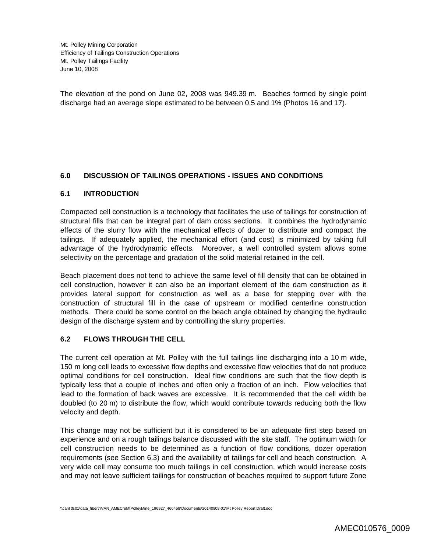The elevation of the pond on June 02, 2008 was 949.39 m. Beaches formed by single point discharge had an average slope estimated to be between 0.5 and 1% (Photos 16 and 17).

## **6.0 DISCUSSION OF TAILINGS OPERATIONS - ISSUES AND CONDITIONS**

#### **6.1 INTRODUCTION**

Compacted cell construction is a technology that facilitates the use of tailings for construction of structural fills that can be integral part of dam cross sections. It combines the hydrodynamic effects of the slurry flow with the mechanical effects of dozer to distribute and compact the tailings. If adequately applied, the mechanical effort (and cost) is minimized by taking full advantage of the hydrodynamic effects. Moreover, a well controlled system allows some selectivity on the percentage and gradation of the solid material retained in the cell.

Beach placement does not tend to achieve the same level of fill density that can be obtained in cell construction, however it can also be an important element of the dam construction as it provides lateral support for construction as well as a base for stepping over with the construction of structural fill in the case of upstream or modified centerline construction methods. There could be some control on the beach angle obtained by changing the hydraulic design of the discharge system and by controlling the slurry properties.

#### **6.2 FLOWS THROUGH THE CELL**

The current cell operation at Mt. Polley with the full tailings line discharging into a 10 m wide, 150 m long cell leads to excessive flow depths and excessive flow velocities that do not produce optimal conditions for cell construction. Ideal flow conditions are such that the flow depth is typically less that a couple of inches and often only a fraction of an inch. Flow velocities that lead to the formation of back waves are excessive. It is recommended that the cell width be doubled (to 20 m) to distribute the flow, which would contribute towards reducing both the flow velocity and depth.

This change may not be sufficient but it is considered to be an adequate first step based on experience and on a rough tailings balance discussed with the site staff. The optimum width for cell construction needs to be determined as a function of flow conditions, dozer operation requirements (see Section 6.3) and the availability of tailings for cell and beach construction. A very wide cell may consume too much tailings in cell construction, which would increase costs and may not leave sufficient tailings for construction of beaches required to support future Zone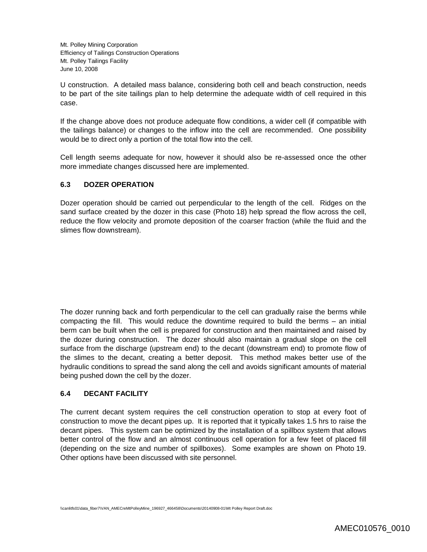U construction. A detailed mass balance, considering both cell and beach construction, needs to be part of the site tailings plan to help determine the adequate width of cell required in this case.

If the change above does not produce adequate flow conditions, a wider cell (if compatible with the tailings balance) or changes to the inflow into the cell are recommended. One possibility would be to direct only a portion of the total flow into the cell.

Cell length seems adequate for now, however it should also be re-assessed once the other more immediate changes discussed here are implemented.

## **6.3 DOZER OPERATION**

Dozer operation should be carried out perpendicular to the length of the cell. Ridges on the sand surface created by the dozer in this case (Photo 18) help spread the flow across the cell, reduce the flow velocity and promote deposition of the coarser fraction (while the fluid and the slimes flow downstream).

The dozer running back and forth perpendicular to the cell can gradually raise the berms while compacting the fill. This would reduce the downtime required to build the berms – an initial berm can be built when the cell is prepared for construction and then maintained and raised by the dozer during construction. The dozer should also maintain a gradual slope on the cell surface from the discharge (upstream end) to the decant (downstream end) to promote flow of the slimes to the decant, creating a better deposit. This method makes better use of the hydraulic conditions to spread the sand along the cell and avoids significant amounts of material being pushed down the cell by the dozer.

#### **6.4 DECANT FACILITY**

The current decant system requires the cell construction operation to stop at every foot of construction to move the decant pipes up. It is reported that it typically takes 1.5 hrs to raise the decant pipes. This system can be optimized by the installation of a spillbox system that allows better control of the flow and an almost continuous cell operation for a few feet of placed fill (depending on the size and number of spillboxes). Some examples are shown on Photo 19. Other options have been discussed with site personnel.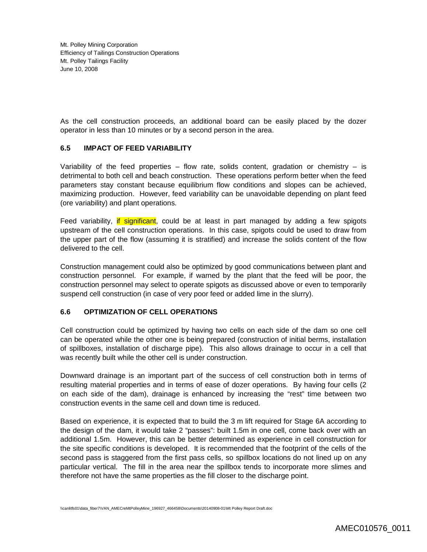As the cell construction proceeds, an additional board can be easily placed by the dozer operator in less than 10 minutes or by a second person in the area.

#### **6.5 IMPACT OF FEED VARIABILITY**

Variability of the feed properties – flow rate, solids content, gradation or chemistry – is detrimental to both cell and beach construction. These operations perform better when the feed parameters stay constant because equilibrium flow conditions and slopes can be achieved, maximizing production. However, feed variability can be unavoidable depending on plant feed (ore variability) and plant operations.

Feed variability, if significant, could be at least in part managed by adding a few spigots upstream of the cell construction operations. In this case, spigots could be used to draw from the upper part of the flow (assuming it is stratified) and increase the solids content of the flow delivered to the cell.

Construction management could also be optimized by good communications between plant and construction personnel. For example, if warned by the plant that the feed will be poor, the construction personnel may select to operate spigots as discussed above or even to temporarily suspend cell construction (in case of very poor feed or added lime in the slurry).

#### **6.6 OPTIMIZATION OF CELL OPERATIONS**

Cell construction could be optimized by having two cells on each side of the dam so one cell can be operated while the other one is being prepared (construction of initial berms, installation of spillboxes, installation of discharge pipe). This also allows drainage to occur in a cell that was recently built while the other cell is under construction.

Downward drainage is an important part of the success of cell construction both in terms of resulting material properties and in terms of ease of dozer operations. By having four cells (2 on each side of the dam), drainage is enhanced by increasing the "rest" time between two construction events in the same cell and down time is reduced.

Based on experience, it is expected that to build the 3 m lift required for Stage 6A according to the design of the dam, it would take 2 "passes": built 1.5m in one cell, come back over with an additional 1.5m. However, this can be better determined as experience in cell construction for the site specific conditions is developed. It is recommended that the footprint of the cells of the second pass is staggered from the first pass cells, so spillbox locations do not lined up on any particular vertical. The fill in the area near the spillbox tends to incorporate more slimes and therefore not have the same properties as the fill closer to the discharge point.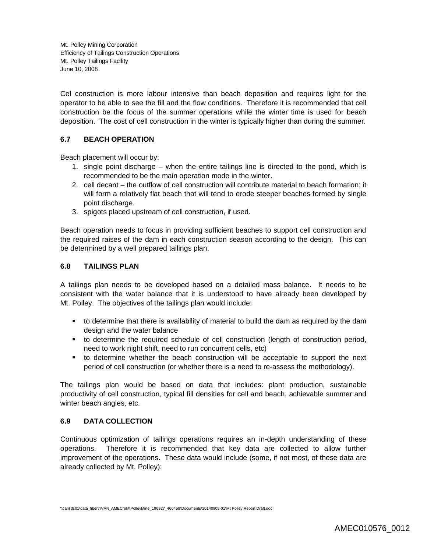Cel construction is more labour intensive than beach deposition and requires light for the operator to be able to see the fill and the flow conditions. Therefore it is recommended that cell construction be the focus of the summer operations while the winter time is used for beach deposition. The cost of cell construction in the winter is typically higher than during the summer.

#### **6.7 BEACH OPERATION**

Beach placement will occur by:

- 1. single point discharge when the entire tailings line is directed to the pond, which is recommended to be the main operation mode in the winter.
- 2. cell decant the outflow of cell construction will contribute material to beach formation; it will form a relatively flat beach that will tend to erode steeper beaches formed by single point discharge.
- 3. spigots placed upstream of cell construction, if used.

Beach operation needs to focus in providing sufficient beaches to support cell construction and the required raises of the dam in each construction season according to the design. This can be determined by a well prepared tailings plan.

## **6.8 TAILINGS PLAN**

A tailings plan needs to be developed based on a detailed mass balance. It needs to be consistent with the water balance that it is understood to have already been developed by Mt. Polley. The objectives of the tailings plan would include:

- to determine that there is availability of material to build the dam as required by the dam design and the water balance
- to determine the required schedule of cell construction (length of construction period, need to work night shift, need to run concurrent cells, etc)
- to determine whether the beach construction will be acceptable to support the next period of cell construction (or whether there is a need to re-assess the methodology).

The tailings plan would be based on data that includes: plant production, sustainable productivity of cell construction, typical fill densities for cell and beach, achievable summer and winter beach angles, etc.

#### **6.9 DATA COLLECTION**

Continuous optimization of tailings operations requires an in-depth understanding of these operations. Therefore it is recommended that key data are collected to allow further improvement of the operations. These data would include (some, if not most, of these data are already collected by Mt. Polley):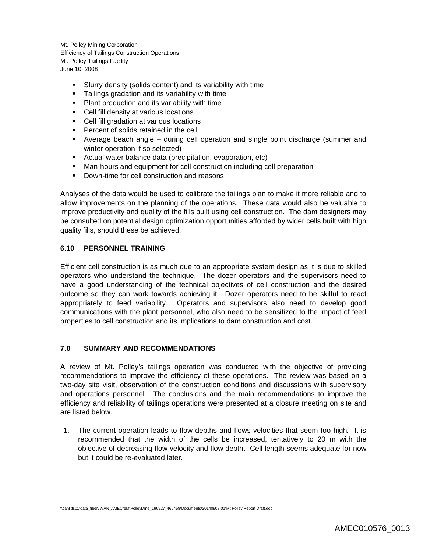- Slurry density (solids content) and its variability with time
- **Tailings gradation and its variability with time**
- **Plant production and its variability with time**
- Cell fill density at various locations
- Cell fill gradation at various locations
- **Percent of solids retained in the cell**
- Average beach angle during cell operation and single point discharge (summer and winter operation if so selected)
- Actual water balance data (precipitation, evaporation, etc)
- Man-hours and equipment for cell construction including cell preparation
- Down-time for cell construction and reasons

Analyses of the data would be used to calibrate the tailings plan to make it more reliable and to allow improvements on the planning of the operations. These data would also be valuable to improve productivity and quality of the fills built using cell construction. The dam designers may be consulted on potential design optimization opportunities afforded by wider cells built with high quality fills, should these be achieved.

#### **6.10 PERSONNEL TRAINING**

Efficient cell construction is as much due to an appropriate system design as it is due to skilled operators who understand the technique. The dozer operators and the supervisors need to have a good understanding of the technical objectives of cell construction and the desired outcome so they can work towards achieving it. Dozer operators need to be skilful to react appropriately to feed variability. Operators and supervisors also need to develop good communications with the plant personnel, who also need to be sensitized to the impact of feed properties to cell construction and its implications to dam construction and cost.

#### **7.0 SUMMARY AND RECOMMENDATIONS**

A review of Mt. Polley's tailings operation was conducted with the objective of providing recommendations to improve the efficiency of these operations. The review was based on a two-day site visit, observation of the construction conditions and discussions with supervisory and operations personnel. The conclusions and the main recommendations to improve the efficiency and reliability of tailings operations were presented at a closure meeting on site and are listed below.

1. The current operation leads to flow depths and flows velocities that seem too high. It is recommended that the width of the cells be increased, tentatively to 20 m with the objective of decreasing flow velocity and flow depth. Cell length seems adequate for now but it could be re-evaluated later.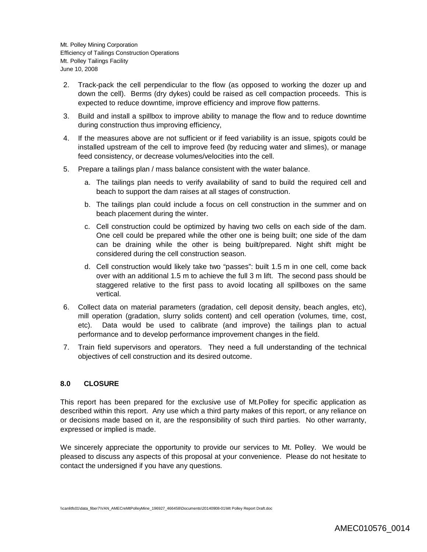- 2. Track-pack the cell perpendicular to the flow (as opposed to working the dozer up and down the cell). Berms (dry dykes) could be raised as cell compaction proceeds. This is expected to reduce downtime, improve efficiency and improve flow patterns.
- 3. Build and install a spillbox to improve ability to manage the flow and to reduce downtime during construction thus improving efficiency,
- 4. If the measures above are not sufficient or if feed variability is an issue, spigots could be installed upstream of the cell to improve feed (by reducing water and slimes), or manage feed consistency, or decrease volumes/velocities into the cell.
- 5. Prepare a tailings plan / mass balance consistent with the water balance.
	- a. The tailings plan needs to verify availability of sand to build the required cell and beach to support the dam raises at all stages of construction.
	- b. The tailings plan could include a focus on cell construction in the summer and on beach placement during the winter.
	- c. Cell construction could be optimized by having two cells on each side of the dam. One cell could be prepared while the other one is being built; one side of the dam can be draining while the other is being built/prepared. Night shift might be considered during the cell construction season.
	- d. Cell construction would likely take two "passes": built 1.5 m in one cell, come back over with an additional 1.5 m to achieve the full 3 m lift. The second pass should be staggered relative to the first pass to avoid locating all spillboxes on the same vertical.
- 6. Collect data on material parameters (gradation, cell deposit density, beach angles, etc), mill operation (gradation, slurry solids content) and cell operation (volumes, time, cost, etc). Data would be used to calibrate (and improve) the tailings plan to actual performance and to develop performance improvement changes in the field.
- 7. Train field supervisors and operators. They need a full understanding of the technical objectives of cell construction and its desired outcome.

#### **8.0 CLOSURE**

This report has been prepared for the exclusive use of Mt.Polley for specific application as described within this report. Any use which a third party makes of this report, or any reliance on or decisions made based on it, are the responsibility of such third parties. No other warranty, expressed or implied is made.

We sincerely appreciate the opportunity to provide our services to Mt. Polley. We would be pleased to discuss any aspects of this proposal at your convenience. Please do not hesitate to contact the undersigned if you have any questions.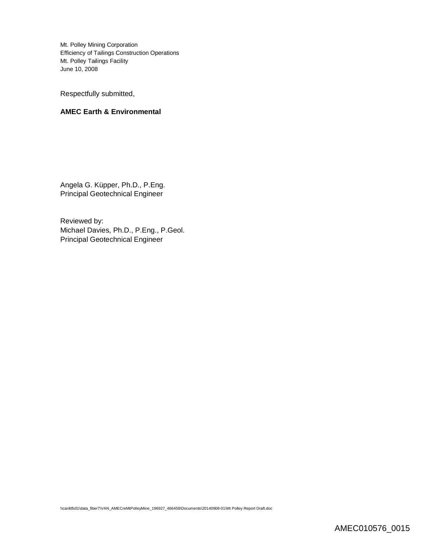Respectfully submitted,

#### **AMEC Earth & Environmental**

Angela G. Küpper, Ph.D., P.Eng. Principal Geotechnical Engineer

Reviewed by: Michael Davies, Ph.D., P.Eng., P.Geol. Principal Geotechnical Engineer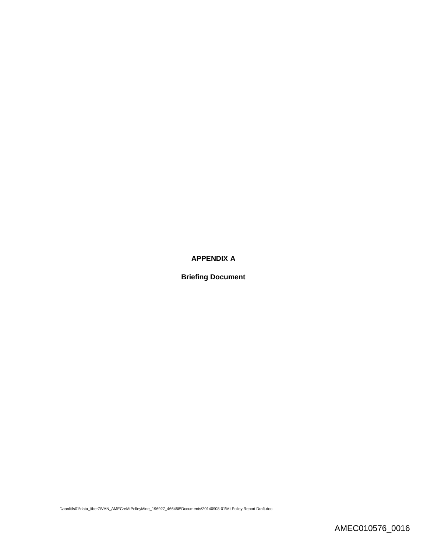## **APPENDIX A**

**Briefing Document**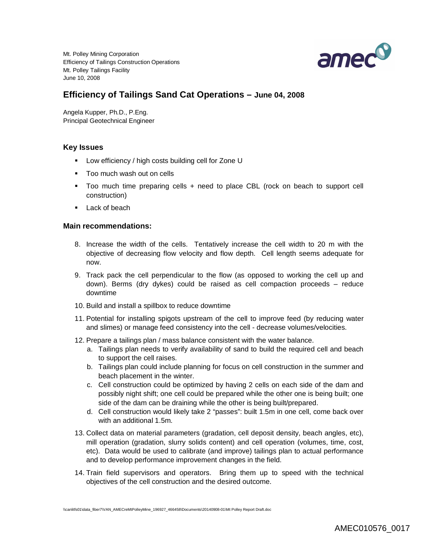

# **Efficiency of Tailings Sand Cat Operations – June 04, 2008**

Angela Kupper, Ph.D., P.Eng. Principal Geotechnical Engineer

#### **Key Issues**

- **-** Low efficiency / high costs building cell for Zone U
- Too much wash out on cells
- Too much time preparing cells + need to place CBL (rock on beach to support cell construction)
- **Lack of beach**

#### **Main recommendations:**

- 8. Increase the width of the cells. Tentatively increase the cell width to 20 m with the objective of decreasing flow velocity and flow depth. Cell length seems adequate for now.
- 9. Track pack the cell perpendicular to the flow (as opposed to working the cell up and down). Berms (dry dykes) could be raised as cell compaction proceeds – reduce downtime
- 10. Build and install a spillbox to reduce downtime
- 11. Potential for installing spigots upstream of the cell to improve feed (by reducing water and slimes) or manage feed consistency into the cell - decrease volumes/velocities.
- 12. Prepare a tailings plan / mass balance consistent with the water balance.
	- a. Tailings plan needs to verify availability of sand to build the required cell and beach to support the cell raises.
	- b. Tailings plan could include planning for focus on cell construction in the summer and beach placement in the winter.
	- c. Cell construction could be optimized by having 2 cells on each side of the dam and possibly night shift; one cell could be prepared while the other one is being built; one side of the dam can be draining while the other is being built/prepared.
	- d. Cell construction would likely take 2 "passes": built 1.5m in one cell, come back over with an additional 1.5m.
- 13. Collect data on material parameters (gradation, cell deposit density, beach angles, etc), mill operation (gradation, slurry solids content) and cell operation (volumes, time, cost, etc). Data would be used to calibrate (and improve) tailings plan to actual performance and to develop performance improvement changes in the field.
- 14. Train field supervisors and operators. Bring them up to speed with the technical objectives of the cell construction and the desired outcome.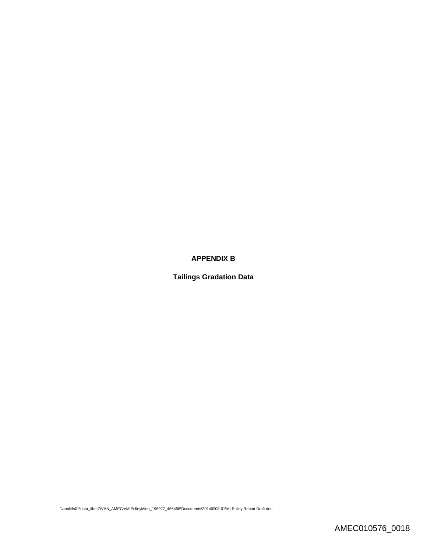## **APPENDIX B**

**Tailings Gradation Data**